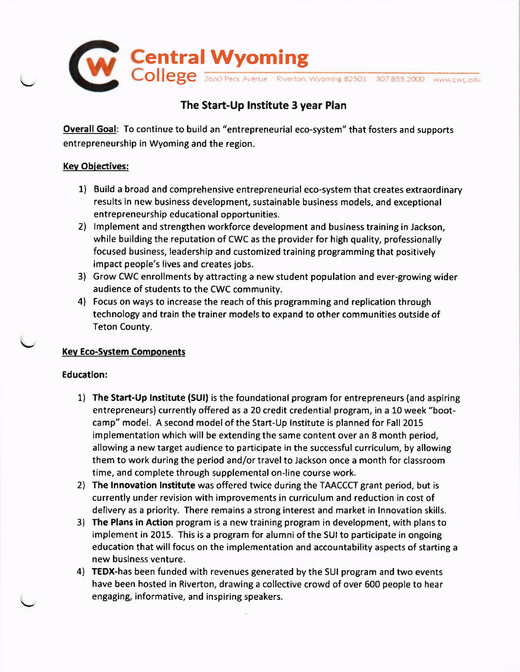

# The Start-Up Institute 3 year Plan

Overall Goal: To continue to build an "entrepreneurial eco-system" that fosters and supports entrepreneurship in Wyoming and the region.

## Kev Obiectives:

- 1) Build a broad and comprehensive entrepreneurial eco-system that creates extraordinary results in new business development, sustainable business models, and exceptional entrepreneurship educational opportunities.
- 2) lmplement and strengthen workforce development and business training in Jackson, while building the reputation of CWC as the provider for high quality, professionally focused business, leadership and customized training programming that positively impact people's lives and creates jobs.
- 3) Grow CWC enrollments by attracting a new student population and ever-growing wider audience of students to the CWC community.
- 4) Focus on ways to increase the reach of this programming and replication through technology and train the trainer models to expand to other communities outside of Teton County.

# Key Eco-System Comoonents

#### Education:

- 1) The Start-Up lnstitute (SUl) is the foundational program for entrepreneurs (and aspiring entrepreneurs) currently offered as a 20 credit credential program, in a 10 week "bootcamp" model. A second model of the Start-Up lnstitute is planned for Fall 2015 implementation which will be extending the same content over an 8 month period, allowing a new target audience to participate in the successful curriculum, by allowing them to work during the period and/or travel to Jackson once a month for classroom time, and complete through supplemental on-line course work.
- 2) The Innovation Institute was offered twice during the TAACCCT grant period, but is currently under revision with improvements in curriculum and reduction in cost of delivery as a priority. There remains a strong interest and market in lnnovation skills.
- 3) The Plans in Action program is a new training program in development, with plans to implement in 2015. This is a program for alumniof the SUI to participate in ongoing education that will focus on the implementation and accountability aspects of starting a new business venture.
- 4) TEDX-has been funded with revenues generated by the SUI program and two events have been hosted in Riverton, drawing a collective crowd of over 600 people to hear engaging, informative, and inspiring speakers.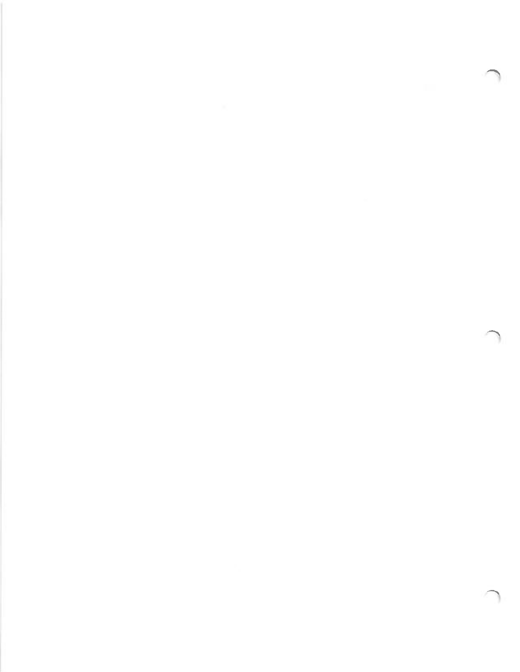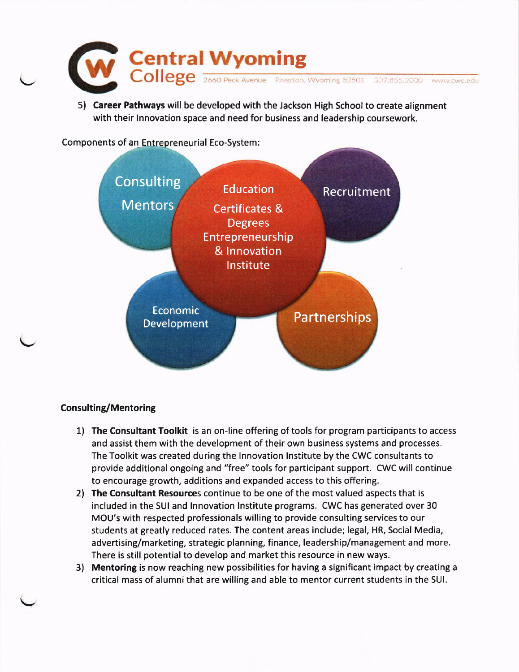

5) Career Pathways will be developed with the Jackson High School to create alignment with their lnnovation space and need for business and leadership coursework.

Components of an Entrepreneurial Eco-System:



# Consulting/Mentoring

 $\overline{\phantom{0}}$ 

 $\left($ 

- 1) The Consultant Toolkit is an on-line offering of tools for program participants to access and assist them with the development of their own business systems and processes. The Toolkit was created during the lnnovation lnstitute by the CWC consultants to provide additional ongoing and "free" tools for participant support. CWC will continue to encourage growth, additions and expanded access to this offering.
- 2) The Consultant Resources continue to be one of the most valued aspects that is included in the SUI and lnnovation lnstitute programs. CWC has generated over 30 MOU's with respected professionals willing to provide consulting services to our students at greatly reduced rates. The content areas include; legal, HR, Social Media, advertising/marketing, strategic planning, finance, leadership/management and more. There is still potential to develop and market this resource in new ways.
- 3) Mentoring is now reaching new possibilities for having a significant impact by creating a critical mass of alumni that are willing and able to mentor current students in the SUl.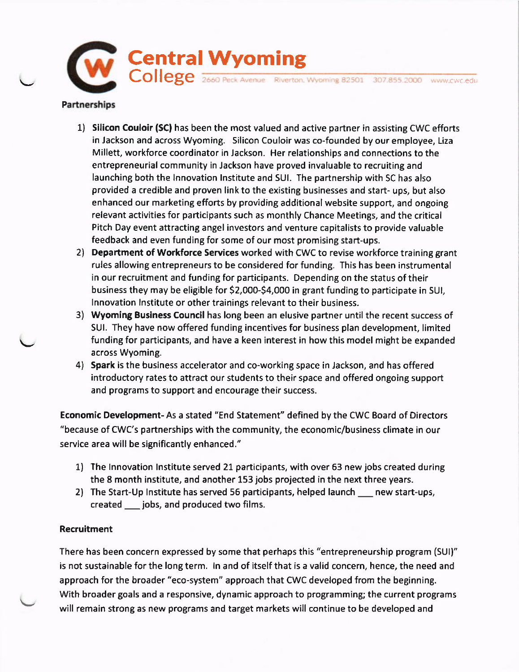

#### **Partnerships**

- 1) Silic**on Couloir (SC)** has been the most valued and active partner in assisting CWC efforts in Jackson and across Wyoming. Silicon Couloir was co-founded by our employee, Liza Millett, workforce coordinator in Jackson. Her relationships and connections to the entrepreneurial community in Jackson have proved invaluable to recruiting and launching both the lnnovation lnstitute and SUl. The partnership with SC has also provided a credible and proven link to the existing businesses and start- ups, but also enhanced our marketing efforts by providing additional website support, and ongoing relevant activities for participants such as monthly Chance Meetings, and the critical Pitch Day event attracting angel investors and venture capitalists to provide valuable feedback and even funding for some of our most promising start-ups.
- 2) Department of Workforce Services worked with CWC to revise workforce training grant rules allowing entrepreneurs to be considered for funding. This has been instrumental in our recruitment and funding for participants. Depending on the status of their business they may be eligible for 52,000-54,000 in grant funding to participate in SUl, lnnovation lnstitute or other trainings relevant to their business.
- 3) Wyoming Business Council has long been an elusive partner until the recent success of SUl. They have now offered funding incentives for business plan development, limited funding for participants, and have a keen interest in how this model might be expanded across Wyoming.
- 4) Spark is the business accelerator and co-working space in Jackson, and has offered introductory rates to attract our students to their space and offered ongoing support and programs to support and encourage their success.

Economic Development- As a stated "End Statement" defined by the CWC Board of Directors "because of CWC's partnerships with the community, the economic/business climate in our service area will be significantly enhanced."

- 1) The lnnovation lnstitute served 21 participants, with over 63 new jobs created during the 8 month institute, and another 153 jobs projected in the next three years.
- 2) The Start-Up Institute has served 56 participants, helped launch \_\_\_ new start-ups, created \_\_\_\_ jobs, and produced two films.

#### Recruitment

There has been concern expressed by some that perhaps this "entrepreneurship program (SUI)" is not sustainable for the long term. ln and of itself that is a valid concern, hence, the need and approach for the broader "eco-system" approach that CWC developed from the beginning. With broader goals and a responsive, dynamic approach to programming; the current programs will remain strong as new programs and target markets will continue to be developed and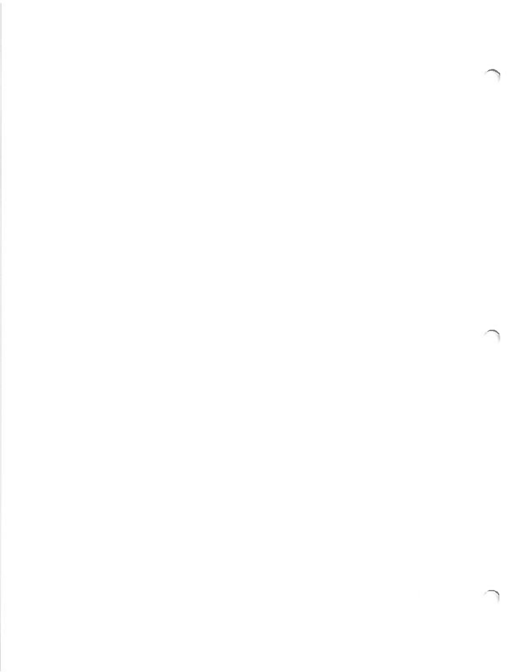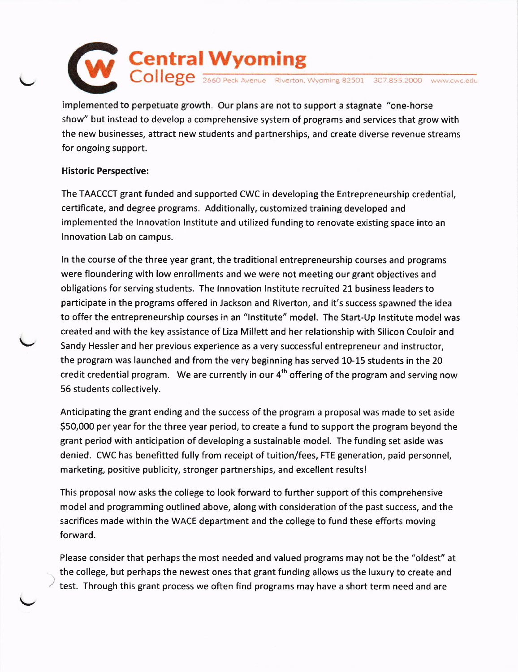

implemented to perpetuate growth. Our plans are not to support a stagnate "one-horse show" but instead to develop a comprehensive system of programs and services that grow with the new businesses, attract new students and partnerships, and create diverse revenue streams for ongoing support.

#### Historic Perspective:

 $\overline{\phantom{0}}$ 

 $\blacktriangle$ 

 $\overline{\phantom{0}}$ 

The TAACCCT grant funded and supported CWC in developing the Entrepreneurship credential, certificate, and degree programs. Additionally, customized training developed and implemented the lnnovation lnstitute and utilized funding to renovate existing space into an lnnovation Lab on campus.

ln the course of the three year grant, the traditional entrepreneurship courses and programs were floundering with low enrollments and we were not meeting our grant objectives and obligations for serving students. The lnnovation lnstitute recruited 21 business leaders to participate in the programs offered in Jackson and Riverton, and it's success spawned the idea to offer the entrepreneurship courses in an "lnstitute" model. The Start-Up lnstitute model was created and with the key assistance of Liza Millett and her relationship with Silicon Couloir and Sandy Hessler and her previous experience as a very successful entrepreneur and instructor, the program was launched and from the very beginning has served 10-15 students in the 20 credit credential program. We are currently in our  $4<sup>th</sup>$  offering of the program and serving now 56 students collectively.

Anticipating the grant ending and the success of the program a proposal was made to set aside SS0,0OO per year for the three year period, to create a fund to support the program beyond the grant period with anticipation of developing a sustainable model. The funding set aside was denied. CWC has benefitted fully from receipt of tuition/fees, FTE generation, paid personnel, marketing, positive publicity, stronger partnerships, and excellent results!

This proposal now asks the college to look forward to further support of this comprehensive model and programming outlined above, along with consideration of the past success, and the sacrifices made within the WACE department and the college to fund these efforts moving forward.

Please consider that perhaps the most needed and valued programs may not be the "oldest" at the college, but perhaps the newest ones that grant funding allows us the luxury to create and test. Through this grant process we often find programs may have a short term need and are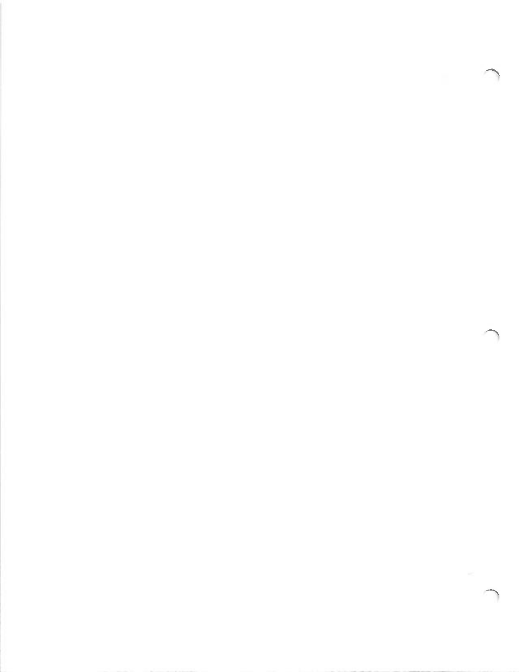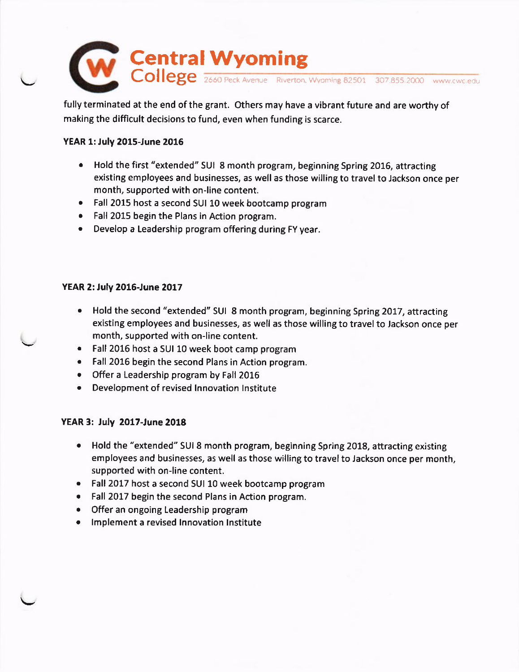

fully terminated at the end of the grant. Others may have a vibrant future and are worthy of making the difficult decisions to fund, even when funding is scarce.

## YEAR 1: July 2015-June 2016

- Hold the first "extended" SUI 8 month program, beginning Spring 2016, attracting existing employees and businesses, as well as those willing to travel to Jackson once per month, supported with on-line content.
- o Fall 2015 host a second SUI 10 week bootcamp program
- o Fall 2015 begin the Plans in Action program.
- Develop a Leadership program offering during FY year.

#### YEAR 2: July 2016-June 2017

- o Hold the second "extended" SUI 8 month program, beginning Spring 2017, attracting existing employees and businesses, as well as those willing to travel to Jackson once per month, supported with on-line content.<br>  $\bullet$  Fall 2016 host a SUI 10 week boot camp program
- 
- o Fall 2016 begin the second Plans in Action program.
- o Offer a Leadership program by Fall <sup>2016</sup>
- Development of revised Innovation Institute

#### YEAR 3: July 2017-June 2018

- o Hold the "extended" SUl 8 month program, beginning Spring 2018, attracting existing employees and businesses, as well as those willing to travel to Jackson once per month, supported with on-line content.
- o Fall2OLT host a second SUI 10 week bootcamp program
- o Fall 2017 begin the second Plans in Action program.
- o Offer an ongoing Leadership program
- Implement a revised Innovation Institute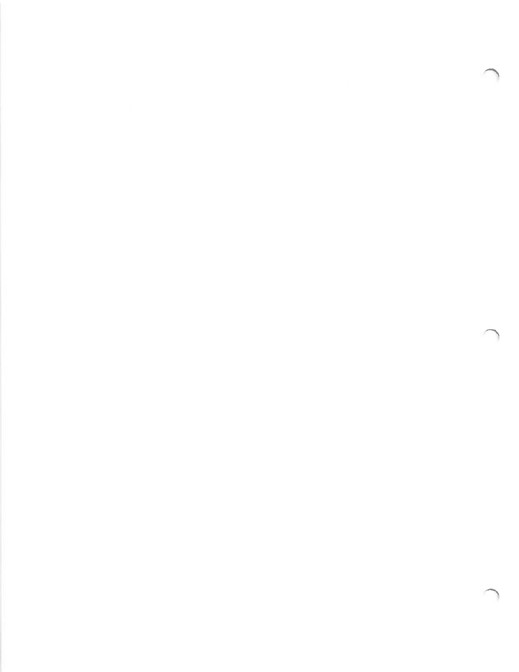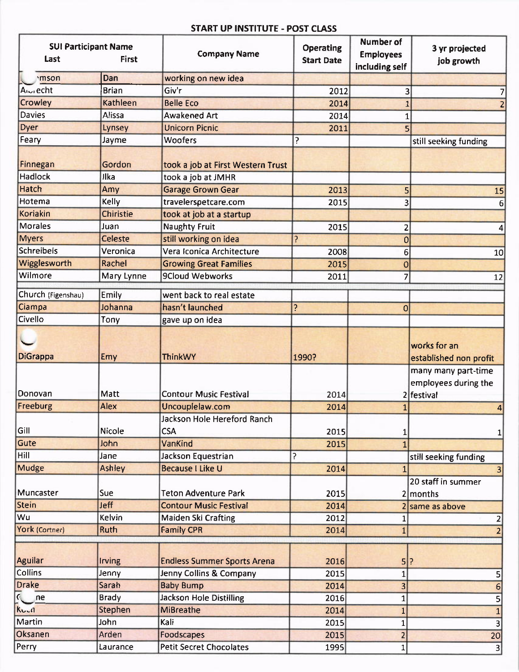# START UP INSTITUTE - POST CLASS

| <b>SUI Participant Name</b><br><b>First</b><br>Last |                  |                                    | <b>Operating</b>  | <b>Number of</b>        | 3 yr projected<br>job growth                               |  |
|-----------------------------------------------------|------------------|------------------------------------|-------------------|-------------------------|------------------------------------------------------------|--|
|                                                     |                  | <b>Company Name</b>                | <b>Start Date</b> | <b>Employees</b>        |                                                            |  |
|                                                     |                  |                                    |                   | including self          |                                                            |  |
| mson                                                | Dan              | working on new idea                |                   |                         |                                                            |  |
| A <sub>Ivi</sub> echt                               | <b>Brian</b>     | Giv'r                              | 2012              | 3                       | $\overline{7}$                                             |  |
| Crowley                                             | <b>Kathleen</b>  | <b>Belle Eco</b>                   | 2014              |                         | $\overline{2}$                                             |  |
| <b>Davies</b>                                       | Alissa           | <b>Awakened Art</b>                | 2014              | 1                       |                                                            |  |
| Dyer                                                | Lynsey           | <b>Unicorn Picnic</b>              | 2011              | 5                       |                                                            |  |
| Feary                                               | Jayme            | <b>Woofers</b>                     | ς                 |                         | still seeking funding                                      |  |
| Finnegan                                            | Gordon           | took a job at First Western Trust  |                   |                         |                                                            |  |
| Hadlock                                             | Ilka             | took a job at JMHR                 |                   |                         |                                                            |  |
| <b>Hatch</b>                                        | Amy              | <b>Garage Grown Gear</b>           | 2013              | 5                       | 15                                                         |  |
| Hotema                                              | Kelly            | travelerspetcare.com               | 2015              | 3                       | 6                                                          |  |
| Koriakin                                            | <b>Chiristie</b> | took at job at a startup           |                   |                         |                                                            |  |
| <b>Morales</b>                                      | Juan             | <b>Naughty Fruit</b>               | 2015              | $\overline{\mathbf{2}}$ | 4                                                          |  |
| <b>Myers</b>                                        | <b>Celeste</b>   | still working on idea              | ?                 | 0                       |                                                            |  |
| Schreibeis                                          | Veronica         | Vera Iconica Architecture          | 2008              | 6                       | 10                                                         |  |
| Wigglesworth                                        | Rachel           | <b>Growing Great Families</b>      | 2015              | 0                       |                                                            |  |
| Wilmore                                             | Mary Lynne       | 9Cloud Webworks                    | 2011              | $\overline{7}$          | 12                                                         |  |
|                                                     |                  |                                    |                   |                         |                                                            |  |
| Church (Figenshau)                                  | Emily            | went back to real estate           |                   |                         |                                                            |  |
| Ciampa                                              | Johanna          | hasn't launched                    | <sup>2</sup>      | $\mathbf 0$             |                                                            |  |
| Civello                                             | Tony             | gave up on idea                    |                   |                         |                                                            |  |
|                                                     |                  |                                    |                   |                         |                                                            |  |
|                                                     |                  |                                    |                   |                         | works for an                                               |  |
| <b>DiGrappa</b>                                     | Emy              | <b>ThinkWY</b>                     | 1990?             |                         | established non profit                                     |  |
|                                                     |                  |                                    |                   |                         | many many part-time                                        |  |
|                                                     |                  |                                    |                   |                         | employees during the                                       |  |
| Donovan                                             | Matt             | <b>Contour Music Festival</b>      | 2014              |                         | 2 festival                                                 |  |
| Freeburg                                            | <b>Alex</b>      | Uncouplelaw.com                    | 2014              |                         |                                                            |  |
|                                                     |                  | Jackson Hole Hereford Ranch        |                   |                         |                                                            |  |
| Gill                                                | Nicole           | <b>CSA</b>                         | 2015              |                         |                                                            |  |
| Gute                                                | John             | VanKind                            | 2015              |                         |                                                            |  |
| <b>Hill</b>                                         | Jane             | Jackson Equestrian                 | <sup>2</sup>      |                         | still seeking funding                                      |  |
| Mudge                                               | Ashley           | <b>Because I Like U</b>            | 2014              |                         |                                                            |  |
|                                                     |                  |                                    |                   |                         | 20 staff in summer                                         |  |
| Muncaster                                           | Sue              | <b>Teton Adventure Park</b>        | 2015              |                         | 2 months                                                   |  |
| <b>Stein</b>                                        | Jeff             | <b>Contour Music Festival</b>      | 2014              |                         | 2 same as above                                            |  |
| Wu                                                  | Kelvin           | Maiden Ski Crafting                | 2012              |                         | $\overline{2}$                                             |  |
| York (Cortner)                                      | <b>Ruth</b>      | <b>Family CPR</b>                  | 2014              |                         |                                                            |  |
|                                                     |                  |                                    |                   |                         |                                                            |  |
| <b>Aguilar</b>                                      | <b>Irving</b>    | <b>Endless Summer Sports Arena</b> | 2016              | $5$ ?                   |                                                            |  |
| Collins                                             | Jenny            | Jenny Collins & Company            | 2015              |                         |                                                            |  |
| <b>Drake</b>                                        | Sarah            | <b>Baby Bump</b>                   | 2014              | 3                       |                                                            |  |
| $\epsilon$<br>ne                                    | <b>Brady</b>     | <b>Jackson Hole Distilling</b>     | 2016              |                         |                                                            |  |
| Ku <sub>u</sub>                                     | <b>Stephen</b>   | <b>MiBreathe</b>                   | 2014              |                         |                                                            |  |
| Martin                                              | John             | Kali                               | 2015              | 1                       |                                                            |  |
| Oksanen                                             | Arden            | Foodscapes                         | 2015              | 2                       | 3                                                          |  |
| Perry                                               | Laurance         | <b>Petit Secret Chocolates</b>     | 1995              | 1                       | $\begin{array}{c c}\n\hline\n20 \\ \hline\n3\n\end{array}$ |  |
|                                                     |                  |                                    |                   |                         |                                                            |  |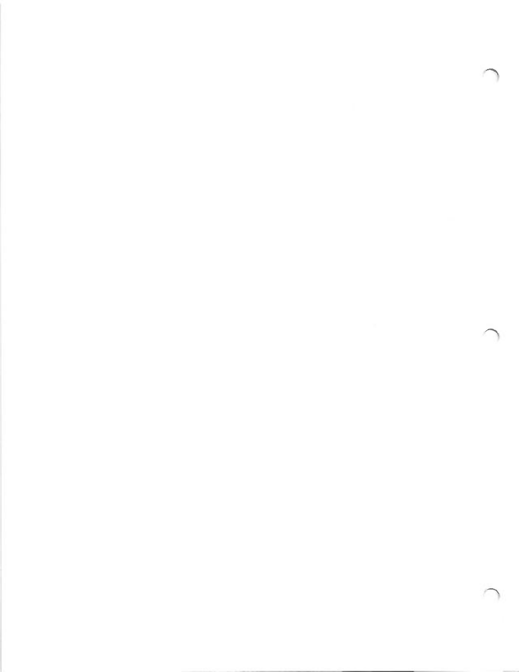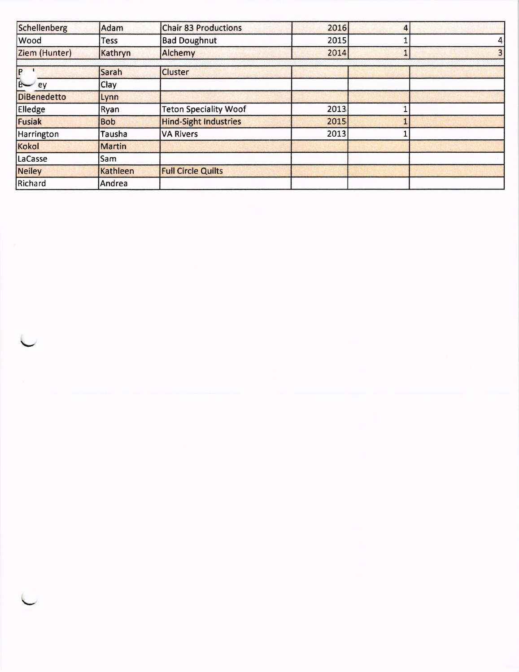| Schellenberg       | Adam            | <b>Chair 83 Productions</b>  | 2016 |   |
|--------------------|-----------------|------------------------------|------|---|
| <b>Wood</b>        | Tess            | <b>Bad Doughnut</b>          | 2015 |   |
| Ziem (Hunter)      | Kathryn         | Alchemy                      | 2014 | 3 |
| P                  | <b>Sarah</b>    | <b>Cluster</b>               |      |   |
| ev                 | Clay            |                              |      |   |
| <b>DiBenedetto</b> | Lynn            |                              |      |   |
| Elledge            | Ryan            | <b>Teton Speciality Woof</b> | 2013 |   |
| Fusiak             | <b>Bob</b>      | <b>Hind-Sight Industries</b> | 2015 |   |
| Harrington         | <b>Tausha</b>   | <b>VA Rivers</b>             | 2013 |   |
| Kokol              | <b>Martin</b>   |                              |      |   |
| LaCasse            | Sam             |                              |      |   |
| Neiley             | <b>Kathleen</b> | <b>Full Circle Quilts</b>    |      |   |
| Richard            | Andrea          |                              |      |   |